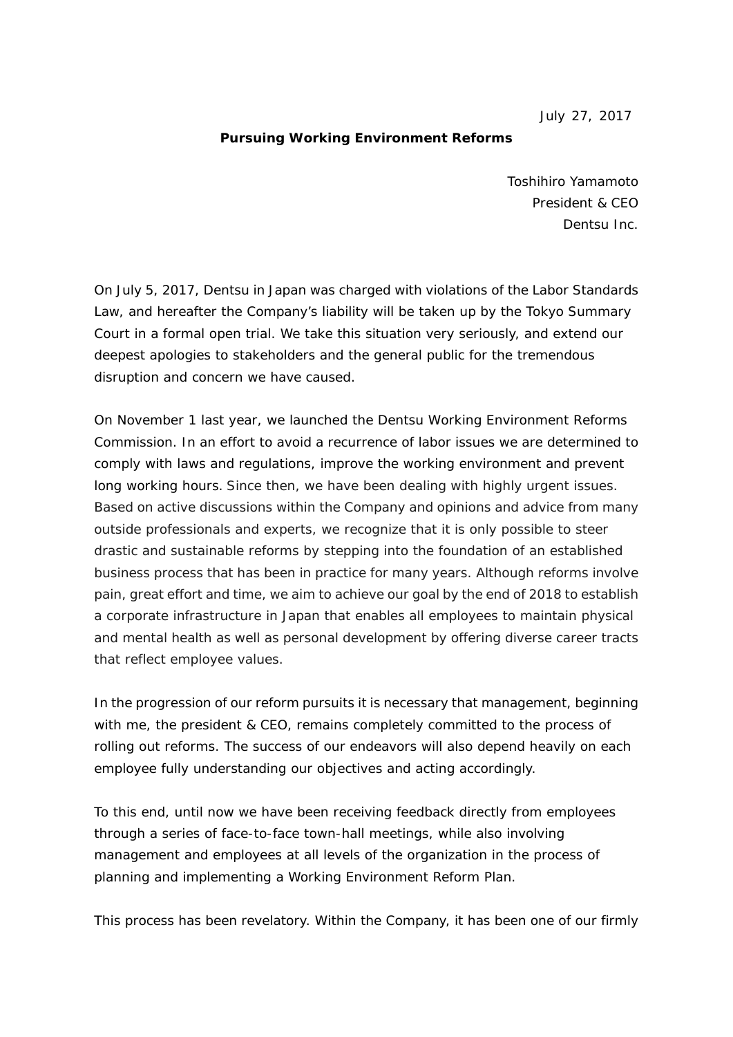July 27, 2017

## **Pursuing Working Environment Reforms**

Toshihiro Yamamoto President & CEO Dentsu Inc.

On July 5, 2017, Dentsu in Japan was charged with violations of the Labor Standards Law, and hereafter the Company's liability will be taken up by the Tokyo Summary Court in a formal open trial. We take this situation very seriously, and extend our deepest apologies to stakeholders and the general public for the tremendous disruption and concern we have caused.

On November 1 last year, we launched the Dentsu Working Environment Reforms Commission. In an effort to avoid a recurrence of labor issues we are determined to comply with laws and regulations, improve the working environment and prevent long working hours. Since then, we have been dealing with highly urgent issues. Based on active discussions within the Company and opinions and advice from many outside professionals and experts, we recognize that it is only possible to steer drastic and sustainable reforms by stepping into the foundation of an established business process that has been in practice for many years. Although reforms involve pain, great effort and time, we aim to achieve our goal by the end of 2018 to establish a corporate infrastructure in Japan that enables all employees to maintain physical and mental health as well as personal development by offering diverse career tracts that reflect employee values.

In the progression of our reform pursuits it is necessary that management, beginning with me, the president & CEO, remains completely committed to the process of rolling out reforms. The success of our endeavors will also depend heavily on each employee fully understanding our objectives and acting accordingly.

To this end, until now we have been receiving feedback directly from employees through a series of face-to-face town-hall meetings, while also involving management and employees at all levels of the organization in the process of planning and implementing a Working Environment Reform Plan.

This process has been revelatory. Within the Company, it has been one of our firmly